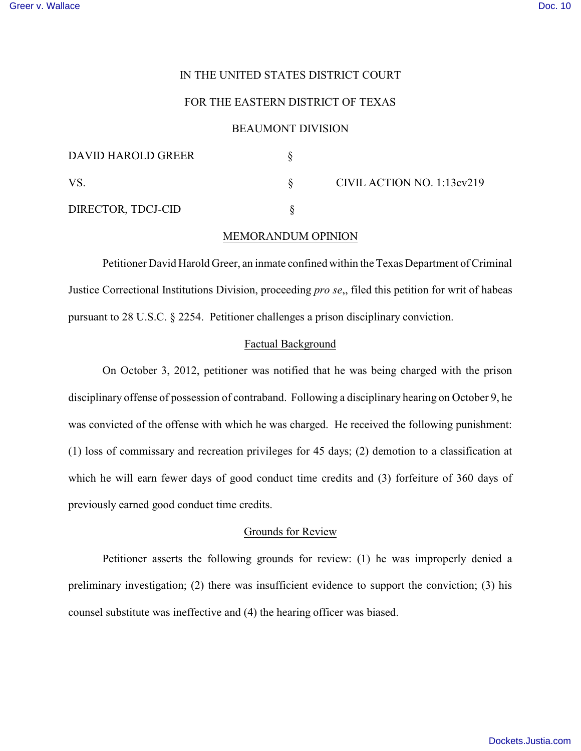# IN THE UNITED STATES DISTRICT COURT

# FOR THE EASTERN DISTRICT OF TEXAS

## BEAUMONT DIVISION

| DAVID HAROLD GREER |                            |
|--------------------|----------------------------|
| VS                 | CIVIL ACTION NO. 1:13cv219 |
| DIRECTOR, TDCJ-CID |                            |

## MEMORANDUM OPINION

Petitioner David Harold Greer, an inmate confined within the Texas Department of Criminal Justice Correctional Institutions Division, proceeding *pro se*,, filed this petition for writ of habeas pursuant to 28 U.S.C. § 2254. Petitioner challenges a prison disciplinary conviction.

# Factual Background

On October 3, 2012, petitioner was notified that he was being charged with the prison disciplinary offense of possession of contraband. Following a disciplinary hearing on October 9, he was convicted of the offense with which he was charged. He received the following punishment: (1) loss of commissary and recreation privileges for 45 days; (2) demotion to a classification at which he will earn fewer days of good conduct time credits and (3) forfeiture of 360 days of previously earned good conduct time credits.

# Grounds for Review

Petitioner asserts the following grounds for review: (1) he was improperly denied a preliminary investigation; (2) there was insufficient evidence to support the conviction; (3) his counsel substitute was ineffective and (4) the hearing officer was biased.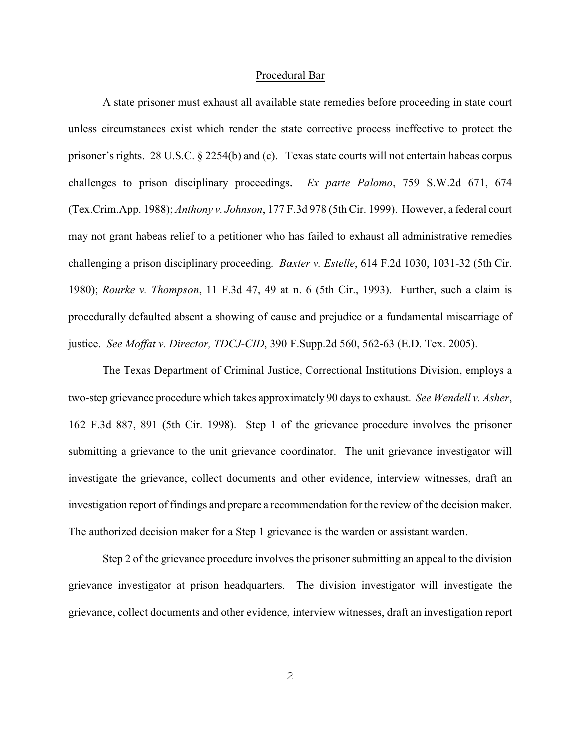#### Procedural Bar

A state prisoner must exhaust all available state remedies before proceeding in state court unless circumstances exist which render the state corrective process ineffective to protect the prisoner's rights. 28 U.S.C. § 2254(b) and (c). Texas state courts will not entertain habeas corpus challenges to prison disciplinary proceedings. *Ex parte Palomo*, 759 S.W.2d 671, 674 (Tex.Crim.App. 1988); *Anthony v. Johnson*, 177 F.3d 978 (5th Cir. 1999). However, a federal court may not grant habeas relief to a petitioner who has failed to exhaust all administrative remedies challenging a prison disciplinary proceeding. *Baxter v. Estelle*, 614 F.2d 1030, 1031-32 (5th Cir. 1980); *Rourke v. Thompson*, 11 F.3d 47, 49 at n. 6 (5th Cir., 1993). Further, such a claim is procedurally defaulted absent a showing of cause and prejudice or a fundamental miscarriage of justice. *See Moffat v. Director, TDCJ-CID*, 390 F.Supp.2d 560, 562-63 (E.D. Tex. 2005).

The Texas Department of Criminal Justice, Correctional Institutions Division, employs a two-step grievance procedure which takes approximately 90 days to exhaust. *See Wendell v. Asher*, 162 F.3d 887, 891 (5th Cir. 1998). Step 1 of the grievance procedure involves the prisoner submitting a grievance to the unit grievance coordinator. The unit grievance investigator will investigate the grievance, collect documents and other evidence, interview witnesses, draft an investigation report of findings and prepare a recommendation for the review of the decision maker. The authorized decision maker for a Step 1 grievance is the warden or assistant warden.

Step 2 of the grievance procedure involves the prisoner submitting an appeal to the division grievance investigator at prison headquarters. The division investigator will investigate the grievance, collect documents and other evidence, interview witnesses, draft an investigation report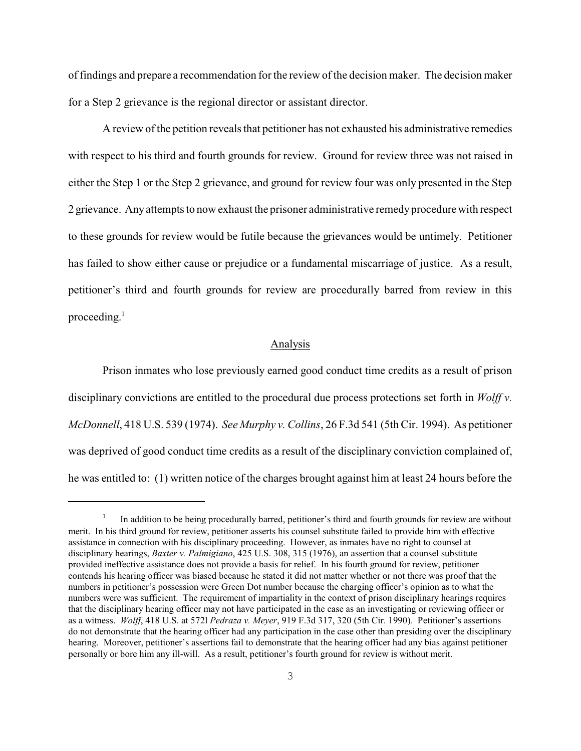of findings and prepare a recommendation for the review of the decision maker. The decision maker for a Step 2 grievance is the regional director or assistant director.

A review of the petition reveals that petitioner has not exhausted his administrative remedies with respect to his third and fourth grounds for review. Ground for review three was not raised in either the Step 1 or the Step 2 grievance, and ground for review four was only presented in the Step 2 grievance. Anyattempts to now exhaust the prisoner administrative remedyprocedure with respect to these grounds for review would be futile because the grievances would be untimely. Petitioner has failed to show either cause or prejudice or a fundamental miscarriage of justice. As a result, petitioner's third and fourth grounds for review are procedurally barred from review in this proceeding. 1

# Analysis

Prison inmates who lose previously earned good conduct time credits as a result of prison disciplinary convictions are entitled to the procedural due process protections set forth in *Wolff v. McDonnell*, 418 U.S. 539 (1974). *See Murphy v. Collins*, 26 F.3d 541 (5th Cir. 1994). As petitioner was deprived of good conduct time credits as a result of the disciplinary conviction complained of, he was entitled to: (1) written notice of the charges brought against him at least 24 hours before the

 $1$  In addition to be being procedurally barred, petitioner's third and fourth grounds for review are without merit. In his third ground for review, petitioner asserts his counsel substitute failed to provide him with effective assistance in connection with his disciplinary proceeding. However, as inmates have no right to counsel at disciplinary hearings, *Baxter v. Palmigiano*, 425 U.S. 308, 315 (1976), an assertion that a counsel substitute provided ineffective assistance does not provide a basis for relief. In his fourth ground for review, petitioner contends his hearing officer was biased because he stated it did not matter whether or not there was proof that the numbers in petitioner's possession were Green Dot number because the charging officer's opinion as to what the numbers were was sufficient. The requirement of impartiality in the context of prison disciplinary hearings requires that the disciplinary hearing officer may not have participated in the case as an investigating or reviewing officer or as a witness. *Wolff*, 418 U.S. at 572l *Pedraza v. Meyer*, 919 F.3d 317, 320 (5th Cir. 1990). Petitioner's assertions do not demonstrate that the hearing officer had any participation in the case other than presiding over the disciplinary hearing. Moreover, petitioner's assertions fail to demonstrate that the hearing officer had any bias against petitioner personally or bore him any ill-will. As a result, petitioner's fourth ground for review is without merit.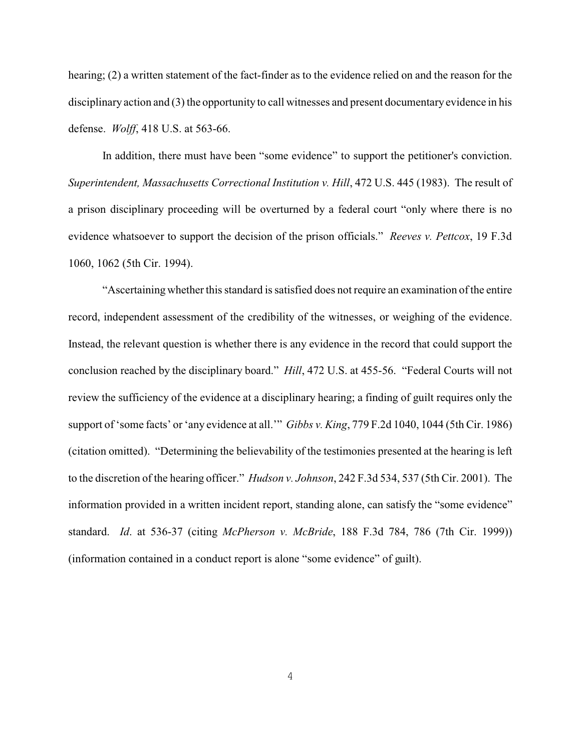hearing; (2) a written statement of the fact-finder as to the evidence relied on and the reason for the disciplinary action and (3) the opportunity to call witnesses and present documentary evidence in his defense. *Wolff*, 418 U.S. at 563-66.

In addition, there must have been "some evidence" to support the petitioner's conviction. *Superintendent, Massachusetts Correctional Institution v. Hill*, 472 U.S. 445 (1983). The result of a prison disciplinary proceeding will be overturned by a federal court "only where there is no evidence whatsoever to support the decision of the prison officials." *Reeves v. Pettcox*, 19 F.3d 1060, 1062 (5th Cir. 1994).

"Ascertaining whether this standard is satisfied does not require an examination of the entire record, independent assessment of the credibility of the witnesses, or weighing of the evidence. Instead, the relevant question is whether there is any evidence in the record that could support the conclusion reached by the disciplinary board." *Hill*, 472 U.S. at 455-56. "Federal Courts will not review the sufficiency of the evidence at a disciplinary hearing; a finding of guilt requires only the support of 'some facts' or 'any evidence at all.'" *Gibbs v. King*, 779 F.2d 1040, 1044 (5th Cir. 1986) (citation omitted). "Determining the believability of the testimonies presented at the hearing is left to the discretion of the hearing officer." *Hudson v. Johnson*, 242 F.3d 534, 537 (5th Cir. 2001). The information provided in a written incident report, standing alone, can satisfy the "some evidence" standard. *Id*. at 536-37 (citing *McPherson v. McBride*, 188 F.3d 784, 786 (7th Cir. 1999)) (information contained in a conduct report is alone "some evidence" of guilt).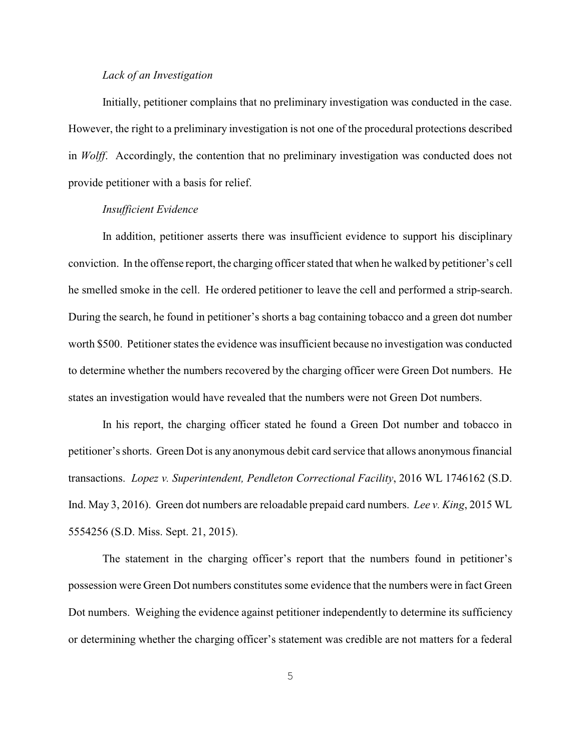### *Lack of an Investigation*

Initially, petitioner complains that no preliminary investigation was conducted in the case. However, the right to a preliminary investigation is not one of the procedural protections described in *Wolff*. Accordingly, the contention that no preliminary investigation was conducted does not provide petitioner with a basis for relief.

## *Insufficient Evidence*

In addition, petitioner asserts there was insufficient evidence to support his disciplinary conviction. In the offense report, the charging officer stated that when he walked by petitioner's cell he smelled smoke in the cell. He ordered petitioner to leave the cell and performed a strip-search. During the search, he found in petitioner's shorts a bag containing tobacco and a green dot number worth \$500. Petitioner states the evidence was insufficient because no investigation was conducted to determine whether the numbers recovered by the charging officer were Green Dot numbers. He states an investigation would have revealed that the numbers were not Green Dot numbers.

In his report, the charging officer stated he found a Green Dot number and tobacco in petitioner's shorts. Green Dot is any anonymous debit card service that allows anonymous financial transactions. *Lopez v. Superintendent, Pendleton Correctional Facility*, 2016 WL 1746162 (S.D. Ind. May 3, 2016). Green dot numbers are reloadable prepaid card numbers. *Lee v. King*, 2015 WL 5554256 (S.D. Miss. Sept. 21, 2015).

The statement in the charging officer's report that the numbers found in petitioner's possession were Green Dot numbers constitutes some evidence that the numbers were in fact Green Dot numbers. Weighing the evidence against petitioner independently to determine its sufficiency or determining whether the charging officer's statement was credible are not matters for a federal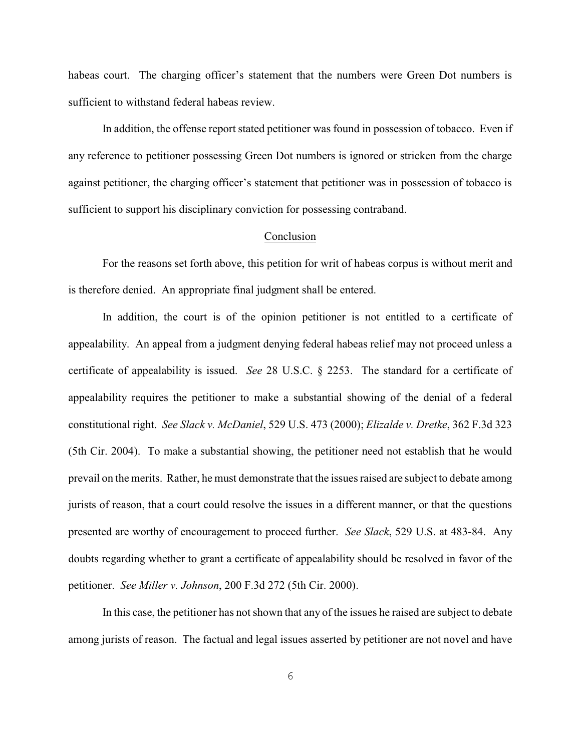habeas court. The charging officer's statement that the numbers were Green Dot numbers is sufficient to withstand federal habeas review.

In addition, the offense report stated petitioner was found in possession of tobacco. Even if any reference to petitioner possessing Green Dot numbers is ignored or stricken from the charge against petitioner, the charging officer's statement that petitioner was in possession of tobacco is sufficient to support his disciplinary conviction for possessing contraband.

## Conclusion

For the reasons set forth above, this petition for writ of habeas corpus is without merit and is therefore denied. An appropriate final judgment shall be entered.

In addition, the court is of the opinion petitioner is not entitled to a certificate of appealability. An appeal from a judgment denying federal habeas relief may not proceed unless a certificate of appealability is issued. *See* 28 U.S.C. § 2253. The standard for a certificate of appealability requires the petitioner to make a substantial showing of the denial of a federal constitutional right. *See Slack v. McDaniel*, 529 U.S. 473 (2000); *Elizalde v. Dretke*, 362 F.3d 323 (5th Cir. 2004). To make a substantial showing, the petitioner need not establish that he would prevail on the merits. Rather, he must demonstrate that the issues raised are subject to debate among jurists of reason, that a court could resolve the issues in a different manner, or that the questions presented are worthy of encouragement to proceed further. *See Slack*, 529 U.S. at 483-84. Any doubts regarding whether to grant a certificate of appealability should be resolved in favor of the petitioner. *See Miller v. Johnson*, 200 F.3d 272 (5th Cir. 2000).

In this case, the petitioner has not shown that any of the issues he raised are subject to debate among jurists of reason. The factual and legal issues asserted by petitioner are not novel and have